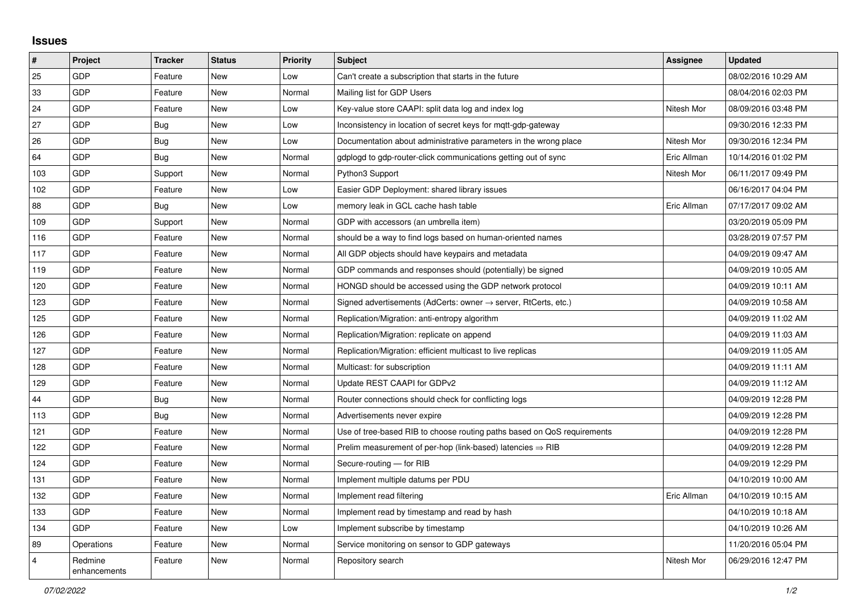## **Issues**

| $\sharp$       | Project                 | <b>Tracker</b> | <b>Status</b> | <b>Priority</b> | <b>Subject</b>                                                             | <b>Assignee</b> | <b>Updated</b>      |
|----------------|-------------------------|----------------|---------------|-----------------|----------------------------------------------------------------------------|-----------------|---------------------|
| 25             | GDP                     | Feature        | <b>New</b>    | Low             | Can't create a subscription that starts in the future                      |                 | 08/02/2016 10:29 AM |
| 33             | GDP                     | Feature        | <b>New</b>    | Normal          | Mailing list for GDP Users                                                 |                 | 08/04/2016 02:03 PM |
| 24             | <b>GDP</b>              | Feature        | <b>New</b>    | Low             | Key-value store CAAPI: split data log and index log                        | Nitesh Mor      | 08/09/2016 03:48 PM |
| 27             | <b>GDP</b>              | Bug            | New           | Low             | Inconsistency in location of secret keys for mgtt-gdp-gateway              |                 | 09/30/2016 12:33 PM |
| 26             | GDP                     | <b>Bug</b>     | <b>New</b>    | Low             | Documentation about administrative parameters in the wrong place           | Nitesh Mor      | 09/30/2016 12:34 PM |
| 64             | <b>GDP</b>              | Bug            | <b>New</b>    | Normal          | gdplogd to gdp-router-click communications getting out of sync             | Eric Allman     | 10/14/2016 01:02 PM |
| 103            | GDP                     | Support        | New           | Normal          | Python3 Support                                                            | Nitesh Mor      | 06/11/2017 09:49 PM |
| 102            | GDP                     | Feature        | <b>New</b>    | Low             | Easier GDP Deployment: shared library issues                               |                 | 06/16/2017 04:04 PM |
| 88             | <b>GDP</b>              | Bug            | New           | Low             | memory leak in GCL cache hash table                                        | Eric Allman     | 07/17/2017 09:02 AM |
| 109            | GDP                     | Support        | <b>New</b>    | Normal          | GDP with accessors (an umbrella item)                                      |                 | 03/20/2019 05:09 PM |
| 116            | <b>GDP</b>              | Feature        | <b>New</b>    | Normal          | should be a way to find logs based on human-oriented names                 |                 | 03/28/2019 07:57 PM |
| 117            | <b>GDP</b>              | Feature        | <b>New</b>    | Normal          | All GDP objects should have keypairs and metadata                          |                 | 04/09/2019 09:47 AM |
| 119            | GDP                     | Feature        | <b>New</b>    | Normal          | GDP commands and responses should (potentially) be signed                  |                 | 04/09/2019 10:05 AM |
| 120            | <b>GDP</b>              | Feature        | <b>New</b>    | Normal          | HONGD should be accessed using the GDP network protocol                    |                 | 04/09/2019 10:11 AM |
| 123            | <b>GDP</b>              | Feature        | <b>New</b>    | Normal          | Signed advertisements (AdCerts: owner $\rightarrow$ server, RtCerts, etc.) |                 | 04/09/2019 10:58 AM |
| 125            | GDP                     | Feature        | <b>New</b>    | Normal          | Replication/Migration: anti-entropy algorithm                              |                 | 04/09/2019 11:02 AM |
| 126            | <b>GDP</b>              | Feature        | <b>New</b>    | Normal          | Replication/Migration: replicate on append                                 |                 | 04/09/2019 11:03 AM |
| 127            | GDP                     | Feature        | <b>New</b>    | Normal          | Replication/Migration: efficient multicast to live replicas                |                 | 04/09/2019 11:05 AM |
| 128            | <b>GDP</b>              | Feature        | New           | Normal          | Multicast: for subscription                                                |                 | 04/09/2019 11:11 AM |
| 129            | GDP                     | Feature        | <b>New</b>    | Normal          | Update REST CAAPI for GDPv2                                                |                 | 04/09/2019 11:12 AM |
| 44             | GDP                     | <b>Bug</b>     | <b>New</b>    | Normal          | Router connections should check for conflicting logs                       |                 | 04/09/2019 12:28 PM |
| 113            | <b>GDP</b>              | <b>Bug</b>     | <b>New</b>    | Normal          | Advertisements never expire                                                |                 | 04/09/2019 12:28 PM |
| 121            | GDP                     | Feature        | <b>New</b>    | Normal          | Use of tree-based RIB to choose routing paths based on QoS requirements    |                 | 04/09/2019 12:28 PM |
| 122            | <b>GDP</b>              | Feature        | <b>New</b>    | Normal          | Prelim measurement of per-hop (link-based) latencies $\Rightarrow$ RIB     |                 | 04/09/2019 12:28 PM |
| 124            | <b>GDP</b>              | Feature        | <b>New</b>    | Normal          | Secure-routing - for RIB                                                   |                 | 04/09/2019 12:29 PM |
| 131            | <b>GDP</b>              | Feature        | <b>New</b>    | Normal          | Implement multiple datums per PDU                                          |                 | 04/10/2019 10:00 AM |
| 132            | <b>GDP</b>              | Feature        | <b>New</b>    | Normal          | Implement read filtering                                                   | Eric Allman     | 04/10/2019 10:15 AM |
| 133            | <b>GDP</b>              | Feature        | <b>New</b>    | Normal          | Implement read by timestamp and read by hash                               |                 | 04/10/2019 10:18 AM |
| 134            | <b>GDP</b>              | Feature        | <b>New</b>    | Low             | Implement subscribe by timestamp                                           |                 | 04/10/2019 10:26 AM |
| 89             | Operations              | Feature        | <b>New</b>    | Normal          | Service monitoring on sensor to GDP gateways                               |                 | 11/20/2016 05:04 PM |
| $\overline{4}$ | Redmine<br>enhancements | Feature        | <b>New</b>    | Normal          | Repository search                                                          | Nitesh Mor      | 06/29/2016 12:47 PM |